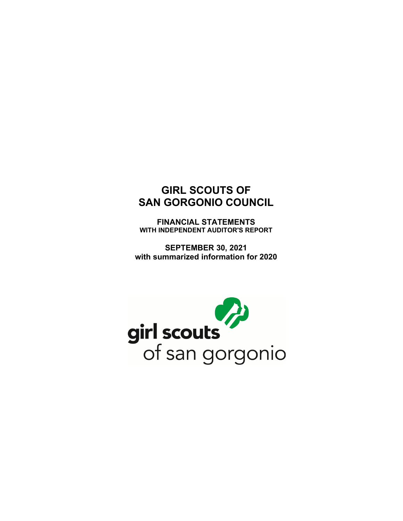**FINANCIAL STATEMENTS WITH INDEPENDENT AUDITOR'S REPORT** 

**SEPTEMBER 30, 2021 with summarized information for 2020** 

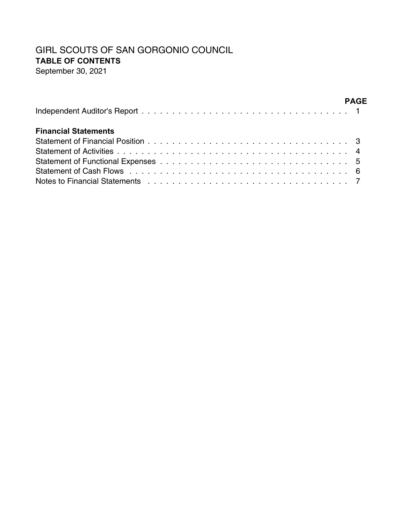# GIRL SCOUTS OF SAN GORGONIO COUNCIL **TABLE OF CONTENTS**

September 30, 2021

|                                                                                                             | <b>PAGF</b> |
|-------------------------------------------------------------------------------------------------------------|-------------|
| <b>Financial Statements</b>                                                                                 |             |
|                                                                                                             |             |
|                                                                                                             |             |
|                                                                                                             |             |
|                                                                                                             |             |
| Notes to Financial Statements response to response the contract of the state of the state of the State of T |             |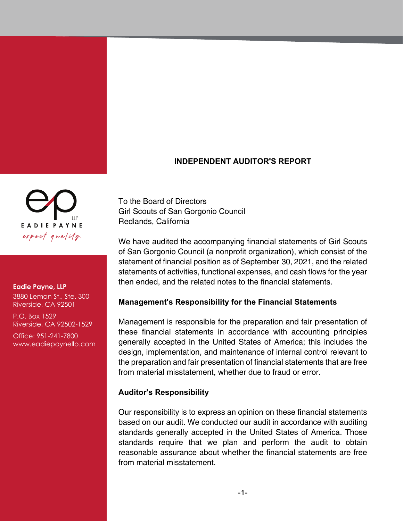## **INDEPENDENT AUDITOR'S REPORT**

To the Board of Directors Girl Scouts of San Gorgonio Council Redlands, California

We have audited the accompanying financial statements of Girl Scouts of San Gorgonio Council (a nonprofit organization), which consist of the statement of financial position as of September 30, 2021, and the related statements of activities, functional expenses, and cash flows for the year then ended, and the related notes to the financial statements.

## **Management's Responsibility for the Financial Statements**

Management is responsible for the preparation and fair presentation of these financial statements in accordance with accounting principles generally accepted in the United States of America; this includes the design, implementation, and maintenance of internal control relevant to the preparation and fair presentation of financial statements that are free from material misstatement, whether due to fraud or error.

#### **Auditor's Responsibility**

Our responsibility is to express an opinion on these financial statements based on our audit. We conducted our audit in accordance with auditing standards generally accepted in the United States of America. Those standards require that we plan and perform the audit to obtain reasonable assurance about whether the financial statements are free from material misstatement.



#### **Eadie Payne, LLP**

3880 Lemon St., Ste. 300 Riverside, CA 92501

P.O. Box 1529 Riverside, CA 92502-1529

Office: 951-241-7800 www.eadiepaynellp.com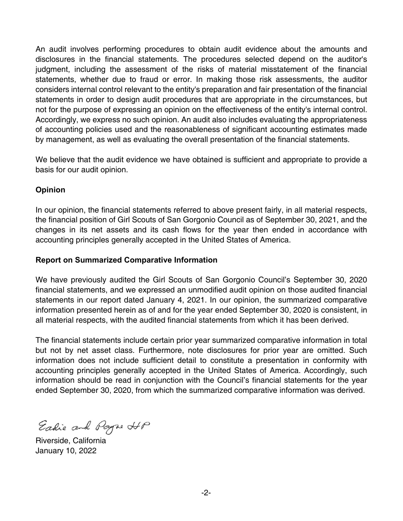An audit involves performing procedures to obtain audit evidence about the amounts and disclosures in the financial statements. The procedures selected depend on the auditor's judgment, including the assessment of the risks of material misstatement of the financial statements, whether due to fraud or error. In making those risk assessments, the auditor considers internal control relevant to the entity's preparation and fair presentation of the financial statements in order to design audit procedures that are appropriate in the circumstances, but not for the purpose of expressing an opinion on the effectiveness of the entity's internal control. Accordingly, we express no such opinion. An audit also includes evaluating the appropriateness of accounting policies used and the reasonableness of significant accounting estimates made by management, as well as evaluating the overall presentation of the financial statements.

We believe that the audit evidence we have obtained is sufficient and appropriate to provide a basis for our audit opinion.

#### **Opinion**

In our opinion, the financial statements referred to above present fairly, in all material respects, the financial position of Girl Scouts of San Gorgonio Council as of September 30, 2021, and the changes in its net assets and its cash flows for the year then ended in accordance with accounting principles generally accepted in the United States of America.

#### **Report on Summarized Comparative Information**

We have previously audited the Girl Scouts of San Gorgonio Council's September 30, 2020 financial statements, and we expressed an unmodified audit opinion on those audited financial statements in our report dated January 4, 2021. In our opinion, the summarized comparative information presented herein as of and for the year ended September 30, 2020 is consistent, in all material respects, with the audited financial statements from which it has been derived.

The financial statements include certain prior year summarized comparative information in total but not by net asset class. Furthermore, note disclosures for prior year are omitted. Such information does not include sufficient detail to constitute a presentation in conformity with accounting principles generally accepted in the United States of America. Accordingly, such information should be read in conjunction with the Council's financial statements for the year ended September 30, 2020, from which the summarized comparative information was derived.

Eadie and Payse HP

Riverside, California January 10, 2022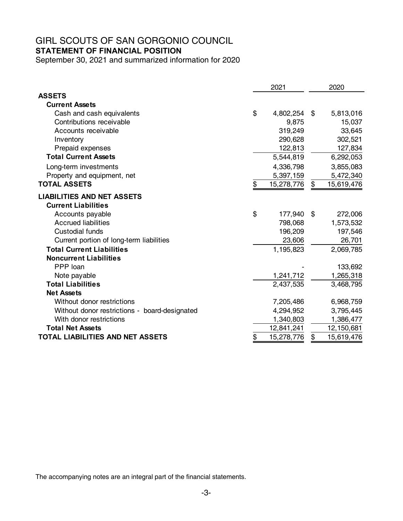**STATEMENT OF FINANCIAL POSITION** 

September 30, 2021 and summarized information for 2020

|                                               | 2021             |    | 2020       |
|-----------------------------------------------|------------------|----|------------|
| <b>ASSETS</b>                                 |                  |    |            |
| <b>Current Assets</b>                         |                  |    |            |
| Cash and cash equivalents                     | \$<br>4,802,254  | \$ | 5,813,016  |
| Contributions receivable                      | 9,875            |    | 15,037     |
| Accounts receivable                           | 319,249          |    | 33,645     |
| Inventory                                     | 290,628          |    | 302,521    |
| Prepaid expenses                              | 122,813          |    | 127,834    |
| <b>Total Current Assets</b>                   | 5,544,819        |    | 6,292,053  |
| Long-term investments                         | 4,336,798        |    | 3,855,083  |
| Property and equipment, net                   | 5,397,159        |    | 5,472,340  |
| <b>TOTAL ASSETS</b>                           | \$<br>15,278,776 | \$ | 15,619,476 |
| <b>LIABILITIES AND NET ASSETS</b>             |                  |    |            |
| <b>Current Liabilities</b>                    |                  |    |            |
| Accounts payable                              | \$<br>177,940    | \$ | 272,006    |
| <b>Accrued liabilities</b>                    | 798,068          |    | 1,573,532  |
| <b>Custodial funds</b>                        | 196,209          |    | 197,546    |
| Current portion of long-term liabilities      | 23,606           |    | 26,701     |
| <b>Total Current Liabilities</b>              | 1,195,823        |    | 2,069,785  |
| <b>Noncurrent Liabilities</b>                 |                  |    |            |
| PPP loan                                      |                  |    | 133,692    |
| Note payable                                  | 1,241,712        |    | 1,265,318  |
| <b>Total Liabilities</b>                      | 2,437,535        |    | 3,468,795  |
| <b>Net Assets</b>                             |                  |    |            |
| Without donor restrictions                    | 7,205,486        |    | 6,968,759  |
| Without donor restrictions - board-designated | 4,294,952        |    | 3,795,445  |
| With donor restrictions                       | 1,340,803        |    | 1,386,477  |
| <b>Total Net Assets</b>                       | 12,841,241       |    | 12,150,681 |
| <b>TOTAL LIABILITIES AND NET ASSETS</b>       | \$<br>15,278,776 | \$ | 15,619,476 |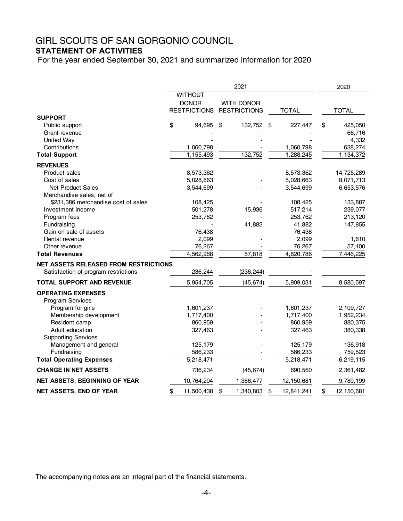# **STATEMENT OF ACTIVITIES**

For the year ended September 30, 2021 and summarized information for 2020

|                                              |                     | 2021                |                  | 2020             |
|----------------------------------------------|---------------------|---------------------|------------------|------------------|
|                                              | <b>WITHOUT</b>      |                     |                  |                  |
|                                              | <b>DONOR</b>        | <b>WITH DONOR</b>   |                  |                  |
|                                              | <b>RESTRICTIONS</b> | <b>RESTRICTIONS</b> | <b>TOTAL</b>     | <b>TOTAL</b>     |
| <b>SUPPORT</b>                               |                     |                     |                  |                  |
| Public support                               | \$<br>94,695        | \$<br>132,752       | \$<br>227,447    | \$<br>425,050    |
| Grant revenue                                |                     |                     |                  | 66,716           |
| <b>United Way</b>                            |                     |                     |                  | 4,332            |
| Contributions                                | 1,060,798           |                     | 1,060,798        | 638,274          |
| <b>Total Support</b>                         | 1,155,493           | 132,752             | 1,288,245        | 1,134,372        |
| <b>REVENUES</b>                              |                     |                     |                  |                  |
| <b>Product sales</b>                         | 8,573,362           |                     | 8,573,362        | 14,725,289       |
| Cost of sales                                | 5,028,663           |                     | 5,028,663        | 8,071,713        |
| Net Product Sales                            | 3,544,699           |                     | 3,544,699        | 6,653,576        |
| Merchandise sales, net of                    |                     |                     |                  |                  |
| \$231,386 merchandise cost of sales          | 108,425             |                     | 108,425          | 133,887          |
| Investment income                            | 501,278             | 15,936              | 517,214          | 239,077          |
| Program fees                                 | 253,762             |                     | 253,762          | 213,120          |
| Fundraising                                  |                     | 41,882              | 41,882           | 147,855          |
| Gain on sale of assets                       | 76,438              |                     | 76,438           |                  |
| Rental revenue                               | 2,099               |                     | 2,099            | 1,610            |
| Other revenue                                | 76,267              |                     | 76,267           | 57,100           |
| <b>Total Revenues</b>                        | 4,562,968           | 57,818              | 4,620,786        | 7,446,225        |
| <b>NET ASSETS RELEASED FROM RESTRICTIONS</b> |                     |                     |                  |                  |
| Satisfaction of program restrictions         | 236,244             | (236, 244)          |                  |                  |
| <b>TOTAL SUPPORT AND REVENUE</b>             | 5,954,705           | (45, 674)           | 5,909,031        | 8,580,597        |
| <b>OPERATING EXPENSES</b>                    |                     |                     |                  |                  |
| Program Services                             |                     |                     |                  |                  |
| Program for girls                            | 1,601,237           |                     | 1,601,237        | 2,109,727        |
| Membership development                       | 1,717,400           |                     | 1,717,400        | 1,952,234        |
| Resident camp                                | 860,959             |                     | 860,959          | 880,375          |
| Adult education                              | 327,463             |                     | 327,463          | 380,338          |
| <b>Supporting Services</b>                   |                     |                     |                  |                  |
| Management and general                       | 125,179             |                     | 125,179          | 136,918          |
| Fundraising                                  | 586,233             |                     | 586,233          | 759,523          |
| <b>Total Operating Expenses</b>              | 5,218,471           |                     | 5,218,471        | 6,219,115        |
| <b>CHANGE IN NET ASSETS</b>                  | 736,234             | (45, 674)           | 690,560          | 2,361,482        |
| NET ASSETS, BEGINNING OF YEAR                | 10,764,204          | 1,386,477           | 12,150,681       | 9,789,199        |
| <b>NET ASSETS, END OF YEAR</b>               | \$<br>11,500,438    | \$<br>1,340,803     | \$<br>12,841,241 | \$<br>12,150,681 |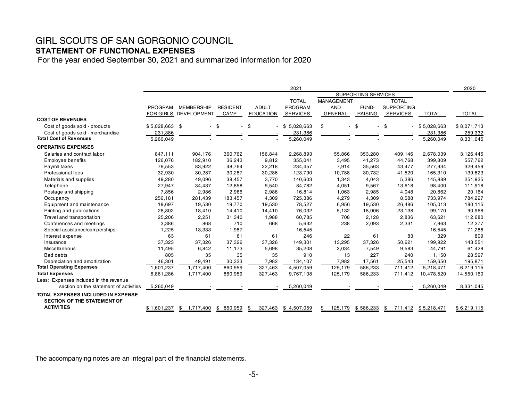# GIRL SCOUTS OF SAN GORGONIO COUNCIL **STATEMENT OF FUNCTIONAL EXPENSES**

For the year ended September 30, 2021 and summarized information for 2020

|                                                                                 |                  |                    |                 |                  | 2021            |                      |                     |                   |                  | 2020         |
|---------------------------------------------------------------------------------|------------------|--------------------|-----------------|------------------|-----------------|----------------------|---------------------|-------------------|------------------|--------------|
|                                                                                 |                  |                    |                 |                  |                 |                      | SUPPORTING SERVICES |                   |                  |              |
|                                                                                 |                  |                    |                 |                  | <b>TOTAL</b>    | <b>MANAGEMENT</b>    |                     | <b>TOTAL</b>      |                  |              |
|                                                                                 | PROGRAM          | <b>MEMBERSHIP</b>  | <b>RESIDENT</b> | <b>ADULT</b>     | <b>PROGRAM</b>  | <b>AND</b>           | FUND-               | <b>SUPPORTING</b> |                  |              |
|                                                                                 | <b>FOR GIRLS</b> | <b>DEVELOPMENT</b> | CAMP            | <b>EDUCATION</b> | <b>SERVICES</b> | <b>GENERAL</b>       | <b>RAISING</b>      | <b>SERVICES</b>   | <b>TOTAL</b>     | <b>TOTAL</b> |
| <b>COST OF REVENUES</b>                                                         |                  |                    |                 |                  |                 |                      |                     |                   |                  |              |
| Cost of goods sold - products                                                   | $$5,028,663$ \$  |                    | \$              | \$               | 5,028,663<br>\$ | \$<br>$\overline{a}$ | \$                  | \$                | $-$ \$ 5,028,663 | \$8,071,713  |
| Cost of goods sold - merchandise                                                | 231,386          |                    |                 |                  | 231,386         |                      |                     |                   | 231,386          | 259,332      |
| <b>Total Cost of Revenues</b>                                                   | 5,260,049        |                    |                 |                  | 5,260,049       |                      |                     |                   | 5,260,049        | 8,331,045    |
| <b>OPERATING EXPENSES</b>                                                       |                  |                    |                 |                  |                 |                      |                     |                   |                  |              |
| Salaries and contract labor                                                     | 847,111          | 904,176            | 360,762         | 156,844          | 2,268,893       | 55,866               | 353,280             | 409,146           | 2,678,039        | 3,126,445    |
| Employee benefits                                                               | 126,076          | 182,910            | 36,243          | 9,812            | 355,041         | 3,495                | 41,273              | 44,768            | 399,809          | 557,762      |
| Payroll taxes                                                                   | 79,553           | 83,922             | 48,764          | 22,218           | 234,457         | 7,914                | 35,563              | 43,477            | 277,934          | 329,459      |
| Professional fees                                                               | 32,930           | 30,287             | 30,287          | 30,286           | 123,790         | 10,788               | 30,732              | 41,520            | 165,310          | 139,623      |
| Materials and supplies                                                          | 49,280           | 49.096             | 38,457          | 3,770            | 140,603         | 1,343                | 4,043               | 5,386             | 145,989          | 251,935      |
| Telephone                                                                       | 27,947           | 34,437             | 12,858          | 9,540            | 84,782          | 4,051                | 9,567               | 13,618            | 98,400           | 111,918      |
| Postage and shipping                                                            | 7,856            | 2,986              | 2,986           | 2,986            | 16,814          | 1,063                | 2,985               | 4,048             | 20,862           | 20,164       |
| Occupancy                                                                       | 256,181          | 281,439            | 183,457         | 4,309            | 725,386         | 4,279                | 4,309               | 8,588             | 733,974          | 784,227      |
| Equipment and maintenance                                                       | 19,697           | 19,530             | 19,770          | 19,530           | 78,527          | 6,956                | 19,530              | 26,486            | 105,013          | 180,115      |
| Printing and publications                                                       | 28,802           | 18,410             | 14,410          | 14,410           | 76,032          | 5,132                | 18,006              | 23,138            | 99,170           | 90,968       |
| Travel and transportation                                                       | 25,206           | 2,251              | 31,340          | 1,988            | 60,785          | 708                  | 2.128               | 2,836             | 63,621           | 112,680      |
| Conferences and meetings                                                        | 3,386            | 868                | 710             | 668              | 5,632           | 238                  | 2,093               | 2,331             | 7,963            | 12,277       |
| Special assistance/camperships                                                  | 1,225            | 13,333             | 1,987           |                  | 16,545          |                      |                     |                   | 16,545           | 71,286       |
| Interest expense                                                                | 63               | 61                 | 61              | 61               | 246             | 22                   | 61                  | 83                | 329              | 809          |
| Insurance                                                                       | 37,323           | 37,326             | 37,326          | 37,326           | 149,301         | 13,295               | 37,326              | 50,621            | 199,922          | 143,551      |
| Miscellaneous                                                                   | 11,495           | 6,842              | 11,173          | 5,698            | 35,208          | 2,034                | 7,549               | 9,583             | 44,791           | 61,428       |
| Bad debts                                                                       | 805              | 35                 | 35              | 35               | 910             | 13                   | 227                 | 240               | 1,150            | 28,597       |
| Depreciation and amortization                                                   | 46,301           | 49,491             | 30,333          | 7,982            | 134,107         | 7,982                | 17,561              | 25,543            | 159,650          | 195,871      |
| <b>Total Operating Expenses</b>                                                 | 1,601,237        | 1,717,400          | 860,959         | 327,463          | 4,507,059       | 125,179              | 586,233             | 711,412           | 5,218,471        | 6,219,115    |
| <b>Total Expenses</b>                                                           | 6,861,286        | 1,717,400          | 860,959         | 327,463          | 9,767,108       | 125,179              | 586,233             | 711,412           | 10,478,520       | 14,550,160   |
| Less: Expenses included in the revenue                                          |                  |                    |                 |                  |                 |                      |                     |                   |                  |              |
| section on the statement of activities                                          | 5,260,049        |                    |                 |                  | 5,260,049       |                      |                     |                   | 5,260,049        | 8,331,045    |
| <b>TOTAL EXPENSES INCLUDED IN EXPENSE</b><br><b>SECTION OF THE STATEMENT OF</b> |                  |                    |                 |                  |                 |                      |                     |                   |                  |              |
| <b>ACTIVITIES</b>                                                               | \$1,601,237      | 1,717,400<br>\$    | 860,959<br>\$   | 327,463<br>\$    | \$4,507,059     | \$<br>125,179        | \$586,233           | \$<br>711,412     | \$5,218,471      | \$6,219,115  |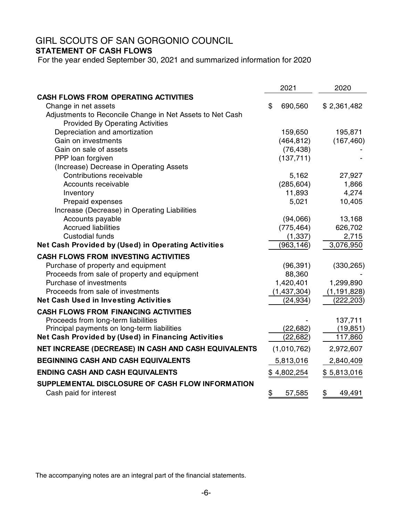## GIRL SCOUTS OF SAN GORGONIO COUNCIL **STATEMENT OF CASH FLOWS**

For the year ended September 30, 2021 and summarized information for 2020

|                                                           | 2021          | 2020          |
|-----------------------------------------------------------|---------------|---------------|
| <b>CASH FLOWS FROM OPERATING ACTIVITIES</b>               |               |               |
| Change in net assets                                      | \$<br>690,560 | \$2,361,482   |
| Adjustments to Reconcile Change in Net Assets to Net Cash |               |               |
| <b>Provided By Operating Activities</b>                   |               |               |
| Depreciation and amortization                             | 159,650       | 195,871       |
| Gain on investments                                       | (464, 812)    | (167, 460)    |
| Gain on sale of assets                                    | (76, 438)     |               |
| PPP loan forgiven                                         | (137, 711)    |               |
| (Increase) Decrease in Operating Assets                   |               |               |
| Contributions receivable                                  | 5,162         | 27,927        |
| Accounts receivable                                       | (285, 604)    | 1,866         |
| Inventory                                                 | 11,893        | 4,274         |
| Prepaid expenses                                          | 5,021         | 10,405        |
| Increase (Decrease) in Operating Liabilities              |               |               |
| Accounts payable                                          | (94,066)      | 13,168        |
| <b>Accrued liabilities</b>                                | (775, 464)    | 626,702       |
| <b>Custodial funds</b>                                    | (1, 337)      | 2,715         |
| Net Cash Provided by (Used) in Operating Activities       | (963, 146)    | 3,076,950     |
| <b>CASH FLOWS FROM INVESTING ACTIVITIES</b>               |               |               |
| Purchase of property and equipment                        | (96, 391)     | (330, 265)    |
| Proceeds from sale of property and equipment              | 88,360        |               |
| Purchase of investments                                   | 1,420,401     | 1,299,890     |
| Proceeds from sale of investments                         | (1,437,304)   | (1, 191, 828) |
| <b>Net Cash Used in Investing Activities</b>              | (24, 934)     | (222, 203)    |
| <b>CASH FLOWS FROM FINANCING ACTIVITIES</b>               |               |               |
| Proceeds from long-term liabilities                       |               | 137,711       |
| Principal payments on long-term liabilities               | (22, 682)     | (19, 851)     |
| Net Cash Provided by (Used) in Financing Activities       | (22, 682)     | 117,860       |
| NET INCREASE (DECREASE) IN CASH AND CASH EQUIVALENTS      | (1,010,762)   | 2,972,607     |
| <b>BEGINNING CASH AND CASH EQUIVALENTS</b>                | 5,813,016     | 2,840,409     |
| <b>ENDING CASH AND CASH EQUIVALENTS</b>                   | \$4,802,254   | \$5,813,016   |
| SUPPLEMENTAL DISCLOSURE OF CASH FLOW INFORMATION          |               |               |
| Cash paid for interest                                    | \$<br>57,585  | \$<br>49,491  |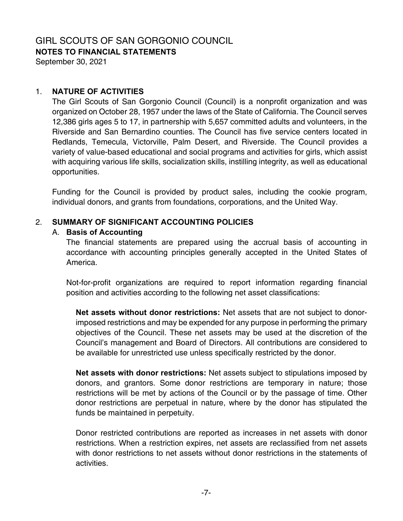**NOTES TO FINANCIAL STATEMENTS** 

September 30, 2021

#### 1. **NATURE OF ACTIVITIES**

The Girl Scouts of San Gorgonio Council (Council) is a nonprofit organization and was organized on October 28, 1957 under the laws of the State of California. The Council serves 12,386 girls ages 5 to 17, in partnership with 5,657 committed adults and volunteers, in the Riverside and San Bernardino counties. The Council has five service centers located in Redlands, Temecula, Victorville, Palm Desert, and Riverside. The Council provides a variety of value-based educational and social programs and activities for girls, which assist with acquiring various life skills, socialization skills, instilling integrity, as well as educational opportunities.

Funding for the Council is provided by product sales, including the cookie program, individual donors, and grants from foundations, corporations, and the United Way.

## 2. **SUMMARY OF SIGNIFICANT ACCOUNTING POLICIES**

#### A. **Basis of Accounting**

The financial statements are prepared using the accrual basis of accounting in accordance with accounting principles generally accepted in the United States of America.

Not-for-profit organizations are required to report information regarding financial position and activities according to the following net asset classifications:

**Net assets without donor restrictions:** Net assets that are not subject to donorimposed restrictions and may be expended for any purpose in performing the primary objectives of the Council. These net assets may be used at the discretion of the Council's management and Board of Directors. All contributions are considered to be available for unrestricted use unless specifically restricted by the donor.

**Net assets with donor restrictions:** Net assets subject to stipulations imposed by donors, and grantors. Some donor restrictions are temporary in nature; those restrictions will be met by actions of the Council or by the passage of time. Other donor restrictions are perpetual in nature, where by the donor has stipulated the funds be maintained in perpetuity.

Donor restricted contributions are reported as increases in net assets with donor restrictions. When a restriction expires, net assets are reclassified from net assets with donor restrictions to net assets without donor restrictions in the statements of activities.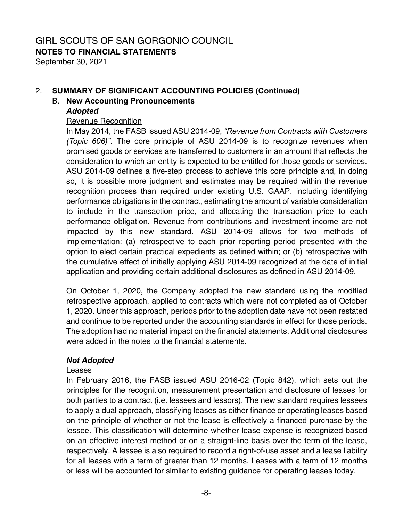**NOTES TO FINANCIAL STATEMENTS** 

September 30, 2021

# 2. **SUMMARY OF SIGNIFICANT ACCOUNTING POLICIES (Continued)**

### B. **New Accounting Pronouncements**

## *Adopted*

#### Revenue Recognition

 In May 2014, the FASB issued ASU 2014-09, *"Revenue from Contracts with Customers (Topic 606)"*. The core principle of ASU 2014-09 is to recognize revenues when promised goods or services are transferred to customers in an amount that reflects the consideration to which an entity is expected to be entitled for those goods or services. ASU 2014-09 defines a five-step process to achieve this core principle and, in doing so, it is possible more judgment and estimates may be required within the revenue recognition process than required under existing U.S. GAAP, including identifying performance obligations in the contract, estimating the amount of variable consideration to include in the transaction price, and allocating the transaction price to each performance obligation. Revenue from contributions and investment income are not impacted by this new standard. ASU 2014-09 allows for two methods of implementation: (a) retrospective to each prior reporting period presented with the option to elect certain practical expedients as defined within; or (b) retrospective with the cumulative effect of initially applying ASU 2014-09 recognized at the date of initial application and providing certain additional disclosures as defined in ASU 2014-09.

 On October 1, 2020, the Company adopted the new standard using the modified retrospective approach, applied to contracts which were not completed as of October 1, 2020. Under this approach, periods prior to the adoption date have not been restated and continue to be reported under the accounting standards in effect for those periods. The adoption had no material impact on the financial statements. Additional disclosures were added in the notes to the financial statements.

## *Not Adopted*

#### Leases

 In February 2016, the FASB issued ASU 2016-02 (Topic 842), which sets out the principles for the recognition, measurement presentation and disclosure of leases for both parties to a contract (i.e. lessees and lessors). The new standard requires lessees to apply a dual approach, classifying leases as either finance or operating leases based on the principle of whether or not the lease is effectively a financed purchase by the lessee. This classification will determine whether lease expense is recognized based on an effective interest method or on a straight-line basis over the term of the lease, respectively. A lessee is also required to record a right-of-use asset and a lease liability for all leases with a term of greater than 12 months. Leases with a term of 12 months or less will be accounted for similar to existing guidance for operating leases today.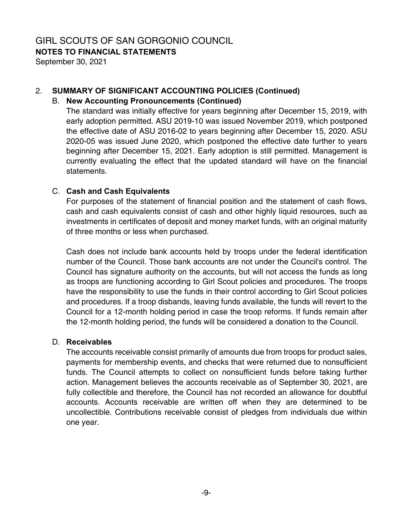**NOTES TO FINANCIAL STATEMENTS** 

September 30, 2021

### 2. **SUMMARY OF SIGNIFICANT ACCOUNTING POLICIES (Continued)**

#### B. **New Accounting Pronouncements (Continued)**

 The standard was initially effective for years beginning after December 15, 2019, with early adoption permitted. ASU 2019-10 was issued November 2019, which postponed the effective date of ASU 2016-02 to years beginning after December 15, 2020. ASU 2020-05 was issued June 2020, which postponed the effective date further to years beginning after December 15, 2021. Early adoption is still permitted. Management is currently evaluating the effect that the updated standard will have on the financial statements.

#### C. **Cash and Cash Equivalents**

For purposes of the statement of financial position and the statement of cash flows, cash and cash equivalents consist of cash and other highly liquid resources, such as investments in certificates of deposit and money market funds, with an original maturity of three months or less when purchased.

Cash does not include bank accounts held by troops under the federal identification number of the Council. Those bank accounts are not under the Council's control. The Council has signature authority on the accounts, but will not access the funds as long as troops are functioning according to Girl Scout policies and procedures. The troops have the responsibility to use the funds in their control according to Girl Scout policies and procedures. If a troop disbands, leaving funds available, the funds will revert to the Council for a 12-month holding period in case the troop reforms. If funds remain after the 12-month holding period, the funds will be considered a donation to the Council.

#### D. **Receivables**

The accounts receivable consist primarily of amounts due from troops for product sales, payments for membership events, and checks that were returned due to nonsufficient funds. The Council attempts to collect on nonsufficient funds before taking further action. Management believes the accounts receivable as of September 30, 2021, are fully collectible and therefore, the Council has not recorded an allowance for doubtful accounts. Accounts receivable are written off when they are determined to be uncollectible. Contributions receivable consist of pledges from individuals due within one year.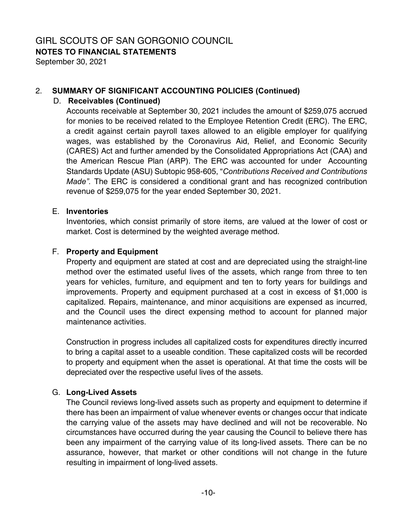# **NOTES TO FINANCIAL STATEMENTS**

September 30, 2021

## 2. **SUMMARY OF SIGNIFICANT ACCOUNTING POLICIES (Continued)**

# D. **Receivables (Continued)**

Accounts receivable at September 30, 2021 includes the amount of \$259,075 accrued for monies to be received related to the Employee Retention Credit (ERC). The ERC, a credit against certain payroll taxes allowed to an eligible employer for qualifying wages, was established by the Coronavirus Aid, Relief, and Economic Security (CARES) Act and further amended by the Consolidated Appropriations Act (CAA) and the American Rescue Plan (ARP). The ERC was accounted for under Accounting Standards Update (ASU) Subtopic 958-605, "*Contributions Received and Contributions Made".* The ERC is considered a conditional grant and has recognized contribution revenue of \$259,075 for the year ended September 30, 2021.

#### E. **Inventories**

Inventories, which consist primarily of store items, are valued at the lower of cost or market. Cost is determined by the weighted average method.

## F. **Property and Equipment**

Property and equipment are stated at cost and are depreciated using the straight-line method over the estimated useful lives of the assets, which range from three to ten years for vehicles, furniture, and equipment and ten to forty years for buildings and improvements. Property and equipment purchased at a cost in excess of \$1,000 is capitalized. Repairs, maintenance, and minor acquisitions are expensed as incurred, and the Council uses the direct expensing method to account for planned major maintenance activities.

Construction in progress includes all capitalized costs for expenditures directly incurred to bring a capital asset to a useable condition. These capitalized costs will be recorded to property and equipment when the asset is operational. At that time the costs will be depreciated over the respective useful lives of the assets.

## G. **Long-Lived Assets**

The Council reviews long-lived assets such as property and equipment to determine if there has been an impairment of value whenever events or changes occur that indicate the carrying value of the assets may have declined and will not be recoverable. No circumstances have occurred during the year causing the Council to believe there has been any impairment of the carrying value of its long-lived assets. There can be no assurance, however, that market or other conditions will not change in the future resulting in impairment of long-lived assets.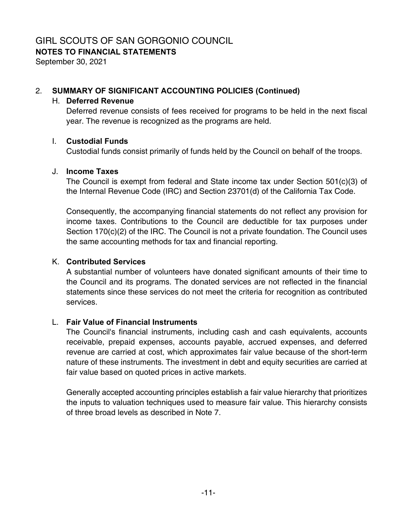# **NOTES TO FINANCIAL STATEMENTS**

September 30, 2021

### 2. **SUMMARY OF SIGNIFICANT ACCOUNTING POLICIES (Continued)**

#### H. **Deferred Revenue**

Deferred revenue consists of fees received for programs to be held in the next fiscal year. The revenue is recognized as the programs are held.

#### I. **Custodial Funds**

Custodial funds consist primarily of funds held by the Council on behalf of the troops.

#### J. **Income Taxes**

The Council is exempt from federal and State income tax under Section 501(c)(3) of the Internal Revenue Code (IRC) and Section 23701(d) of the California Tax Code.

Consequently, the accompanying financial statements do not reflect any provision for income taxes. Contributions to the Council are deductible for tax purposes under Section 170(c)(2) of the IRC. The Council is not a private foundation. The Council uses the same accounting methods for tax and financial reporting.

#### K. **Contributed Services**

A substantial number of volunteers have donated significant amounts of their time to the Council and its programs. The donated services are not reflected in the financial statements since these services do not meet the criteria for recognition as contributed services.

#### L. **Fair Value of Financial Instruments**

The Council's financial instruments, including cash and cash equivalents, accounts receivable, prepaid expenses, accounts payable, accrued expenses, and deferred revenue are carried at cost, which approximates fair value because of the short-term nature of these instruments. The investment in debt and equity securities are carried at fair value based on quoted prices in active markets.

Generally accepted accounting principles establish a fair value hierarchy that prioritizes the inputs to valuation techniques used to measure fair value. This hierarchy consists of three broad levels as described in Note 7.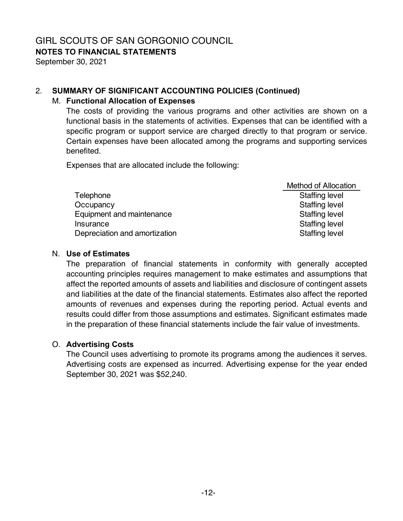**NOTES TO FINANCIAL STATEMENTS** 

September 30, 2021

# 2. **SUMMARY OF SIGNIFICANT ACCOUNTING POLICIES (Continued)**

# M. **Functional Allocation of Expenses**

The costs of providing the various programs and other activities are shown on a functional basis in the statements of activities. Expenses that can be identified with a specific program or support service are charged directly to that program or service. Certain expenses have been allocated among the programs and supporting services benefited.

Expenses that are allocated include the following:

|                               | <b>Method of Allocation</b> |
|-------------------------------|-----------------------------|
| Telephone                     | <b>Staffing level</b>       |
| Occupancy                     | <b>Staffing level</b>       |
| Equipment and maintenance     | <b>Staffing level</b>       |
| Insurance                     | <b>Staffing level</b>       |
| Depreciation and amortization | <b>Staffing level</b>       |

## N. **Use of Estimates**

The preparation of financial statements in conformity with generally accepted accounting principles requires management to make estimates and assumptions that affect the reported amounts of assets and liabilities and disclosure of contingent assets and liabilities at the date of the financial statements. Estimates also affect the reported amounts of revenues and expenses during the reporting period. Actual events and results could differ from those assumptions and estimates. Significant estimates made in the preparation of these financial statements include the fair value of investments.

# O. **Advertising Costs**

The Council uses advertising to promote its programs among the audiences it serves. Advertising costs are expensed as incurred. Advertising expense for the year ended September 30, 2021 was \$52,240.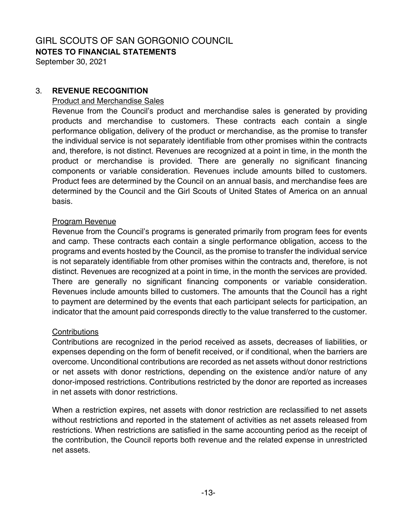# GIRL SCOUTS OF SAN GORGONIO COUNCIL **NOTES TO FINANCIAL STATEMENTS**

September 30, 2021

#### 3. **REVENUE RECOGNITION**

#### Product and Merchandise Sales

Revenue from the Council's product and merchandise sales is generated by providing products and merchandise to customers. These contracts each contain a single performance obligation, delivery of the product or merchandise, as the promise to transfer the individual service is not separately identifiable from other promises within the contracts and, therefore, is not distinct. Revenues are recognized at a point in time, in the month the product or merchandise is provided. There are generally no significant financing components or variable consideration. Revenues include amounts billed to customers. Product fees are determined by the Council on an annual basis, and merchandise fees are determined by the Council and the Girl Scouts of United States of America on an annual basis.

#### Program Revenue

Revenue from the Council's programs is generated primarily from program fees for events and camp. These contracts each contain a single performance obligation, access to the programs and events hosted by the Council, as the promise to transfer the individual service is not separately identifiable from other promises within the contracts and, therefore, is not distinct. Revenues are recognized at a point in time, in the month the services are provided. There are generally no significant financing components or variable consideration. Revenues include amounts billed to customers. The amounts that the Council has a right to payment are determined by the events that each participant selects for participation, an indicator that the amount paid corresponds directly to the value transferred to the customer.

#### Contributions

Contributions are recognized in the period received as assets, decreases of liabilities, or expenses depending on the form of benefit received, or if conditional, when the barriers are overcome. Unconditional contributions are recorded as net assets without donor restrictions or net assets with donor restrictions, depending on the existence and/or nature of any donor-imposed restrictions. Contributions restricted by the donor are reported as increases in net assets with donor restrictions.

When a restriction expires, net assets with donor restriction are reclassified to net assets without restrictions and reported in the statement of activities as net assets released from restrictions. When restrictions are satisfied in the same accounting period as the receipt of the contribution, the Council reports both revenue and the related expense in unrestricted net assets.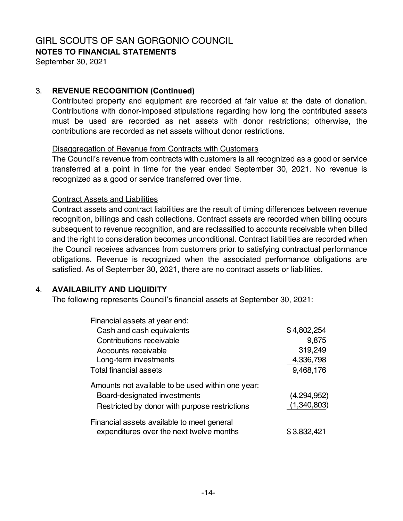**NOTES TO FINANCIAL STATEMENTS** 

September 30, 2021

#### 3. **REVENUE RECOGNITION (Continued)**

Contributed property and equipment are recorded at fair value at the date of donation. Contributions with donor-imposed stipulations regarding how long the contributed assets must be used are recorded as net assets with donor restrictions; otherwise, the contributions are recorded as net assets without donor restrictions.

#### Disaggregation of Revenue from Contracts with Customers

The Council's revenue from contracts with customers is all recognized as a good or service transferred at a point in time for the year ended September 30, 2021. No revenue is recognized as a good or service transferred over time.

#### Contract Assets and Liabilities

Contract assets and contract liabilities are the result of timing differences between revenue recognition, billings and cash collections. Contract assets are recorded when billing occurs subsequent to revenue recognition, and are reclassified to accounts receivable when billed and the right to consideration becomes unconditional. Contract liabilities are recorded when the Council receives advances from customers prior to satisfying contractual performance obligations. Revenue is recognized when the associated performance obligations are satisfied. As of September 30, 2021, there are no contract assets or liabilities.

#### 4. **AVAILABILITY AND LIQUIDITY**

The following represents Council's financial assets at September 30, 2021:

| Financial assets at year end:                     |             |
|---------------------------------------------------|-------------|
| Cash and cash equivalents                         | \$4,802,254 |
| Contributions receivable                          | 9,875       |
| Accounts receivable                               | 319,249     |
| Long-term investments                             | 4,336,798   |
| <b>Total financial assets</b>                     | 9,468,176   |
| Amounts not available to be used within one year: |             |
| Board-designated investments                      | (4,294,952) |
| Restricted by donor with purpose restrictions     | (1,340,803) |
| Financial assets available to meet general        |             |
| expenditures over the next twelve months          | \$3,832,421 |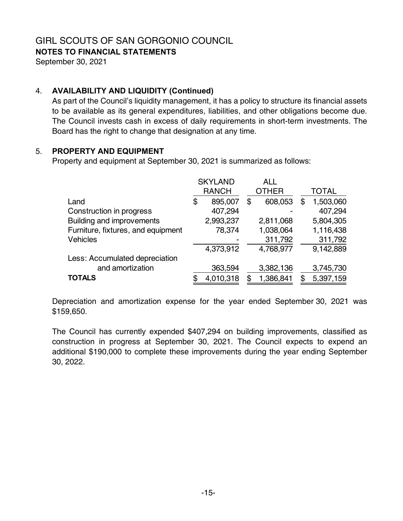**NOTES TO FINANCIAL STATEMENTS** 

September 30, 2021

# 4. **AVAILABILITY AND LIQUIDITY (Continued)**

As part of the Council's liquidity management, it has a policy to structure its financial assets to be available as its general expenditures, liabilities, and other obligations become due. The Council invests cash in excess of daily requirements in short-term investments. The Board has the right to change that designation at any time.

#### 5. **PROPERTY AND EQUIPMENT**

Property and equipment at September 30, 2021 is summarized as follows:

|                                    | <b>SKYLAND</b> | ALL           |   |              |
|------------------------------------|----------------|---------------|---|--------------|
|                                    | <b>RANCH</b>   | <b>OTHER</b>  |   | <b>TOTAL</b> |
| Land                               | \$<br>895,007  | \$<br>608,053 | S | 1,503,060    |
| Construction in progress           | 407,294        |               |   | 407,294      |
| Building and improvements          | 2,993,237      | 2,811,068     |   | 5,804,305    |
| Furniture, fixtures, and equipment | 78,374         | 1,038,064     |   | 1,116,438    |
| <b>Vehicles</b>                    |                | 311,792       |   | 311,792      |
|                                    | 4,373,912      | 4,768,977     |   | 9,142,889    |
| Less: Accumulated depreciation     |                |               |   |              |
| and amortization                   | 363,594        | 3,382,136     |   | 3,745,730    |
| <b>TOTALS</b>                      | 4,010,318      | 1,386,841     |   | 5,397,159    |

Depreciation and amortization expense for the year ended September 30, 2021 was \$159,650.

The Council has currently expended \$407,294 on building improvements, classified as construction in progress at September 30, 2021. The Council expects to expend an additional \$190,000 to complete these improvements during the year ending September 30, 2022.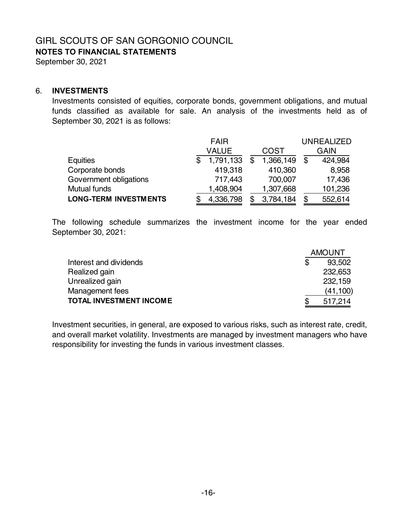**NOTES TO FINANCIAL STATEMENTS** 

September 30, 2021

#### 6. **INVESTMENTS**

Investments consisted of equities, corporate bonds, government obligations, and mutual funds classified as available for sale. An analysis of the investments held as of September 30, 2021 is as follows:

|                              | <b>FAIR</b> |           |  |             |     | <b>UNREALIZED</b> |
|------------------------------|-------------|-----------|--|-------------|-----|-------------------|
|                              | VALUE       |           |  | <b>COST</b> |     | <b>GAIN</b>       |
| Equities                     |             | 1,791,133 |  | 1,366,149   | -\$ | 424,984           |
| Corporate bonds              |             | 419,318   |  | 410,360     |     | 8,958             |
| Government obligations       |             | 717,443   |  | 700,007     |     | 17,436            |
| Mutual funds                 |             | 1,408,904 |  | 1,307,668   |     | 101,236           |
| <b>LONG-TERM INVESTMENTS</b> |             | 4,336,798 |  | 3,784,184   |     | 552,614           |

The following schedule summarizes the investment income for the year ended September 30, 2021:

|                                |   | <b>AMOUNT</b> |
|--------------------------------|---|---------------|
| Interest and dividends         | S | 93.502        |
| Realized gain                  |   | 232,653       |
| Unrealized gain                |   | 232,159       |
| Management fees                |   | (41, 100)     |
| <b>TOTAL INVESTMENT INCOME</b> |   | 517,214       |

Investment securities, in general, are exposed to various risks, such as interest rate, credit, and overall market volatility. Investments are managed by investment managers who have responsibility for investing the funds in various investment classes.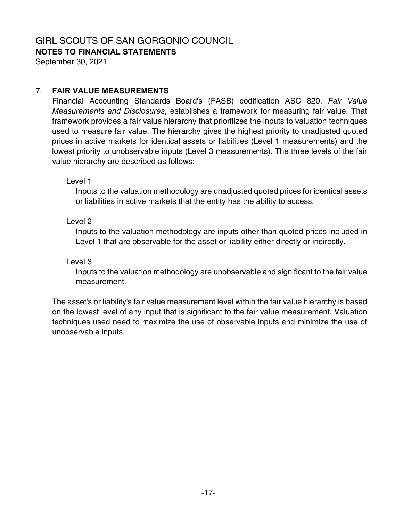**NOTES TO FINANCIAL STATEMENTS** 

September 30, 2021

#### 7. **FAIR VALUE MEASUREMENTS**

Financial Accounting Standards Board's (FASB) codification ASC 820, *Fair Value Measurements and Disclosures*, establishes a framework for measuring fair value. That framework provides a fair value hierarchy that prioritizes the inputs to valuation techniques used to measure fair value. The hierarchy gives the highest priority to unadjusted quoted prices in active markets for identical assets or liabilities (Level 1 measurements) and the lowest priority to unobservable inputs (Level 3 measurements). The three levels of the fair value hierarchy are described as follows:

Level 1

Inputs to the valuation methodology are unadjusted quoted prices for identical assets or liabilities in active markets that the entity has the ability to access.

Level 2

Inputs to the valuation methodology are inputs other than quoted prices included in Level 1 that are observable for the asset or liability either directly or indirectly.

Level 3

Inputs to the valuation methodology are unobservable and significant to the fair value measurement.

The asset's or liability's fair value measurement level within the fair value hierarchy is based on the lowest level of any input that is significant to the fair value measurement. Valuation techniques used need to maximize the use of observable inputs and minimize the use of unobservable inputs.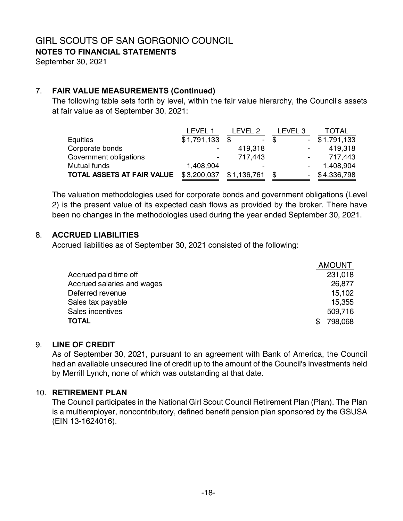**NOTES TO FINANCIAL STATEMENTS** 

September 30, 2021

# 7. **FAIR VALUE MEASUREMENTS (Continued)**

The following table sets forth by level, within the fair value hierarchy, the Council's assets at fair value as of September 30, 2021:

|                            | LEVEL 1        | IFVFI 2                  | _EVEL 3                  | TOTAL       |
|----------------------------|----------------|--------------------------|--------------------------|-------------|
| Equities                   | \$1,791,133    | \$.                      | - \$                     | \$1,791,133 |
| Corporate bonds            |                | 419,318                  | $\overline{\phantom{a}}$ | 419,318     |
| Government obligations     | $\blacksquare$ | 717,443                  | $\blacksquare$           | 717,443     |
| Mutual funds               | 1,408,904      | $\overline{\phantom{0}}$ | $\overline{\phantom{a}}$ | 1,408,904   |
| TOTAL ASSETS AT FAIR VALUE | \$3,200,037    | \$1,136,761              | -                        | \$4,336,798 |

The valuation methodologies used for corporate bonds and government obligations (Level 2) is the present value of its expected cash flows as provided by the broker. There have been no changes in the methodologies used during the year ended September 30, 2021.

#### 8. **ACCRUED LIABILITIES**

Accrued liabilities as of September 30, 2021 consisted of the following:

|                            | <b>AMOUNT</b> |
|----------------------------|---------------|
| Accrued paid time off      | 231,018       |
| Accrued salaries and wages | 26,877        |
| Deferred revenue           | 15.102        |
| Sales tax payable          | 15,355        |
| Sales incentives           | 509,716       |
| <b>TOTAL</b>               | 798,068       |

## 9. **LINE OF CREDIT**

As of September 30, 2021, pursuant to an agreement with Bank of America, the Council had an available unsecured line of credit up to the amount of the Council's investments held by Merrill Lynch, none of which was outstanding at that date.

#### 10. **RETIREMENT PLAN**

The Council participates in the National Girl Scout Council Retirement Plan (Plan). The Plan is a multiemployer, noncontributory, defined benefit pension plan sponsored by the GSUSA (EIN 13-1624016).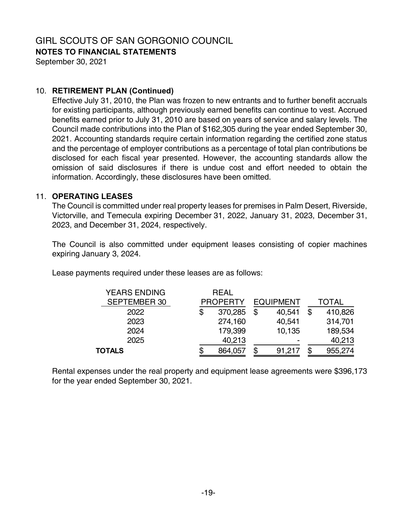**NOTES TO FINANCIAL STATEMENTS** 

September 30, 2021

#### 10. **RETIREMENT PLAN (Continued)**

Effective July 31, 2010, the Plan was frozen to new entrants and to further benefit accruals for existing participants, although previously earned benefits can continue to vest. Accrued benefits earned prior to July 31, 2010 are based on years of service and salary levels. The Council made contributions into the Plan of \$162,305 during the year ended September 30, 2021. Accounting standards require certain information regarding the certified zone status and the percentage of employer contributions as a percentage of total plan contributions be disclosed for each fiscal year presented. However, the accounting standards allow the omission of said disclosures if there is undue cost and effort needed to obtain the information. Accordingly, these disclosures have been omitted.

#### 11. **OPERATING LEASES**

The Council is committed under real property leases for premises in Palm Desert, Riverside, Victorville, and Temecula expiring December 31, 2022, January 31, 2023, December 31, 2023, and December 31, 2024, respectively.

The Council is also committed under equipment leases consisting of copier machines expiring January 3, 2024.

Lease payments required under these leases are as follows:

| <b>YEARS ENDING</b> | <b>REAL</b>     |    |                  |    |         |
|---------------------|-----------------|----|------------------|----|---------|
| <b>SEPTEMBER 30</b> | <b>PROPERTY</b> |    | <b>EQUIPMENT</b> |    | TOTAL   |
| 2022                | \$<br>370,285   | \$ | 40,541           | \$ | 410,826 |
| 2023                | 274,160         |    | 40,541           |    | 314,701 |
| 2024                | 179,399         |    | 10,135           |    | 189,534 |
| 2025                | 40,213          |    | -                |    | 40,213  |
| TOTALS              | 864,057         | S  | 91,217           | S  | 955,274 |
|                     |                 |    |                  |    |         |

Rental expenses under the real property and equipment lease agreements were \$396,173 for the year ended September 30, 2021.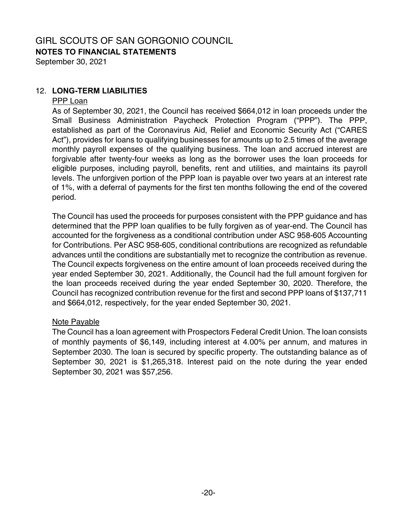## GIRL SCOUTS OF SAN GORGONIO COUNCIL **NOTES TO FINANCIAL STATEMENTS**

September 30, 2021

#### 12. **LONG-TERM LIABILITIES**

#### PPP Loan

As of September 30, 2021, the Council has received \$664,012 in loan proceeds under the Small Business Administration Paycheck Protection Program ("PPP"). The PPP, established as part of the Coronavirus Aid, Relief and Economic Security Act ("CARES Act"), provides for loans to qualifying businesses for amounts up to 2.5 times of the average monthly payroll expenses of the qualifying business. The loan and accrued interest are forgivable after twenty-four weeks as long as the borrower uses the loan proceeds for eligible purposes, including payroll, benefits, rent and utilities, and maintains its payroll levels. The unforgiven portion of the PPP loan is payable over two years at an interest rate of 1%, with a deferral of payments for the first ten months following the end of the covered period.

The Council has used the proceeds for purposes consistent with the PPP guidance and has determined that the PPP loan qualifies to be fully forgiven as of year-end. The Council has accounted for the forgiveness as a conditional contribution under ASC 958-605 Accounting for Contributions. Per ASC 958-605, conditional contributions are recognized as refundable advances until the conditions are substantially met to recognize the contribution as revenue. The Council expects forgiveness on the entire amount of loan proceeds received during the year ended September 30, 2021. Additionally, the Council had the full amount forgiven for the loan proceeds received during the year ended September 30, 2020. Therefore, the Council has recognized contribution revenue for the first and second PPP loans of \$137,711 and \$664,012, respectively, for the year ended September 30, 2021.

#### Note Payable

The Council has a loan agreement with Prospectors Federal Credit Union. The loan consists of monthly payments of \$6,149, including interest at 4.00% per annum, and matures in September 2030. The loan is secured by specific property. The outstanding balance as of September 30, 2021 is \$1,265,318. Interest paid on the note during the year ended September 30, 2021 was \$57,256.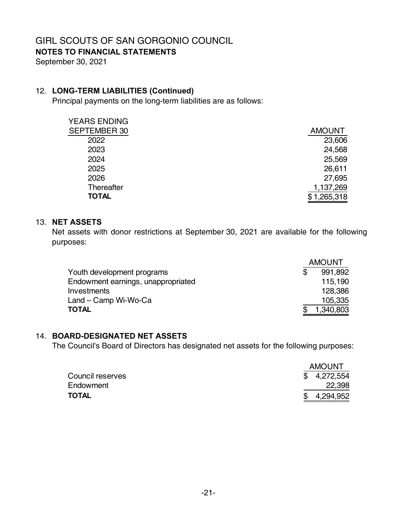**NOTES TO FINANCIAL STATEMENTS** 

September 30, 2021

#### 12. **LONG-TERM LIABILITIES (Continued)**

Principal payments on the long-term liabilities are as follows:

| <b>AMOUNT</b> |
|---------------|
| 23,606        |
| 24,568        |
| 25,569        |
| 26,611        |
| 27,695        |
| 1,137,269     |
| 1,265,318     |
|               |

#### 13. **NET ASSETS**

Net assets with donor restrictions at September 30, 2021 are available for the following purposes:

|                                    | <b>AMOUNT</b> |           |  |  |
|------------------------------------|---------------|-----------|--|--|
| Youth development programs         |               | 991.892   |  |  |
| Endowment earnings, unappropriated |               | 115.190   |  |  |
| Investments                        |               | 128,386   |  |  |
| Land – Camp Wi-Wo-Ca               |               | 105,335   |  |  |
| <b>TOTAL</b>                       |               | 1,340,803 |  |  |

#### 14. **BOARD-DESIGNATED NET ASSETS**

The Council's Board of Directors has designated net assets for the following purposes:

|                  |             | <b>AMOUNT</b> |  |  |
|------------------|-------------|---------------|--|--|
| Council reserves | \$4,272,554 |               |  |  |
| Endowment        | 22,398      |               |  |  |
| TOTAL            | 4,294,952   |               |  |  |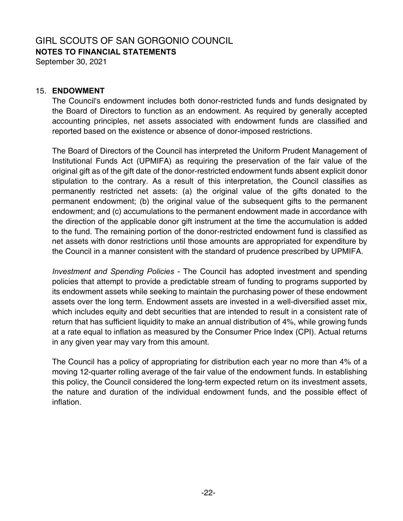# GIRL SCOUTS OF SAN GORGONIO COUNCIL **NOTES TO FINANCIAL STATEMENTS**

September 30, 2021

#### 15. **ENDOWMENT**

The Council's endowment includes both donor-restricted funds and funds designated by the Board of Directors to function as an endowment. As required by generally accepted accounting principles, net assets associated with endowment funds are classified and reported based on the existence or absence of donor-imposed restrictions.

The Board of Directors of the Council has interpreted the Uniform Prudent Management of Institutional Funds Act (UPMIFA) as requiring the preservation of the fair value of the original gift as of the gift date of the donor-restricted endowment funds absent explicit donor stipulation to the contrary. As a result of this interpretation, the Council classifies as permanently restricted net assets: (a) the original value of the gifts donated to the permanent endowment; (b) the original value of the subsequent gifts to the permanent endowment; and (c) accumulations to the permanent endowment made in accordance with the direction of the applicable donor gift instrument at the time the accumulation is added to the fund. The remaining portion of the donor-restricted endowment fund is classified as net assets with donor restrictions until those amounts are appropriated for expenditure by the Council in a manner consistent with the standard of prudence prescribed by UPMIFA.

*Investment and Spending Policies* - The Council has adopted investment and spending policies that attempt to provide a predictable stream of funding to programs supported by its endowment assets while seeking to maintain the purchasing power of these endowment assets over the long term. Endowment assets are invested in a well-diversified asset mix, which includes equity and debt securities that are intended to result in a consistent rate of return that has sufficient liquidity to make an annual distribution of 4%, while growing funds at a rate equal to inflation as measured by the Consumer Price Index (CPI). Actual returns in any given year may vary from this amount.

The Council has a policy of appropriating for distribution each year no more than 4% of a moving 12-quarter rolling average of the fair value of the endowment funds. In establishing this policy, the Council considered the long-term expected return on its investment assets, the nature and duration of the individual endowment funds, and the possible effect of inflation.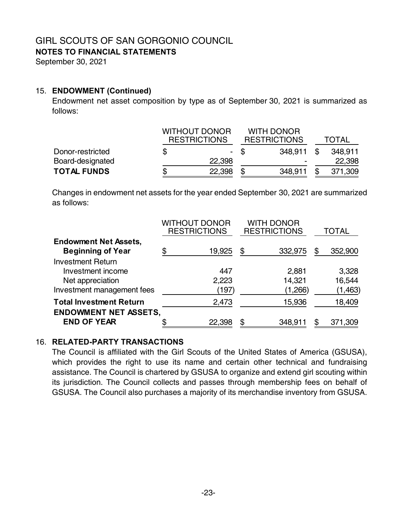## GIRL SCOUTS OF SAN GORGONIO COUNCIL **NOTES TO FINANCIAL STATEMENTS**

September 30, 2021

#### 15. **ENDOWMENT (Continued)**

Endowment net asset composition by type as of September 30, 2021 is summarized as follows:

|                    | <b>WITHOUT DONOR</b><br><b>RESTRICTIONS</b> |  | <b>WITH DONOR</b><br><b>RESTRICTIONS</b> |      | <b>TOTAL</b> |  |  |
|--------------------|---------------------------------------------|--|------------------------------------------|------|--------------|--|--|
| Donor-restricted   | $\blacksquare$                              |  | 348.911                                  | - \$ | 348.911      |  |  |
| Board-designated   | 22,398                                      |  | -                                        |      | 22,398       |  |  |
| <b>TOTAL FUNDS</b> | 22,398                                      |  | 348,911                                  |      | 371,309      |  |  |

Changes in endowment net assets for the year ended September 30, 2021 are summarized as follows:

|                                                          | <b>WITHOUT DONOR</b><br><b>RESTRICTIONS</b> |        | <b>WITH DONOR</b><br><b>RESTRICTIONS</b> | TOTAL |          |
|----------------------------------------------------------|---------------------------------------------|--------|------------------------------------------|-------|----------|
| <b>Endowment Net Assets,</b><br><b>Beginning of Year</b> |                                             |        | \$                                       | \$    | 352,900  |
| <b>Investment Return</b>                                 |                                             | 19,925 | 332,975                                  |       |          |
| Investment income                                        |                                             | 447    | 2,881                                    |       | 3,328    |
| Net appreciation                                         |                                             | 2,223  | 14,321                                   |       | 16,544   |
| Investment management fees                               |                                             | (197)  | (1,266)                                  |       | (1, 463) |
| <b>Total Investment Return</b>                           |                                             | 2,473  | 15,936                                   |       | 18,409   |
| <b>ENDOWMENT NET ASSETS,</b><br><b>END OF YEAR</b>       |                                             | 22,398 | \$<br>348,911                            | \$    | 371,309  |

### 16. **RELATED-PARTY TRANSACTIONS**

The Council is affiliated with the Girl Scouts of the United States of America (GSUSA), which provides the right to use its name and certain other technical and fundraising assistance. The Council is chartered by GSUSA to organize and extend girl scouting within its jurisdiction. The Council collects and passes through membership fees on behalf of GSUSA. The Council also purchases a majority of its merchandise inventory from GSUSA.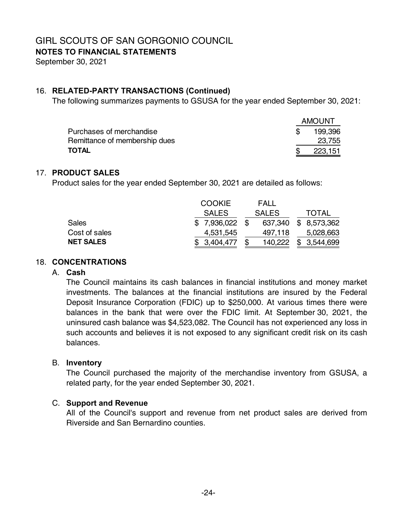**NOTES TO FINANCIAL STATEMENTS** 

September 30, 2021

#### 16. **RELATED-PARTY TRANSACTIONS (Continued)**

The following summarizes payments to GSUSA for the year ended September 30, 2021:

|                               | <b>AMOUNT</b> |
|-------------------------------|---------------|
| Purchases of merchandise      | 199,396       |
| Remittance of membership dues | 23,755        |
| <b>TOTAL</b>                  | 223,151       |

#### 17. **PRODUCT SALES**

Product sales for the year ended September 30, 2021 are detailed as follows:

|                  | <b>COOKIE</b> | FALL         |                      |
|------------------|---------------|--------------|----------------------|
|                  | <b>SALES</b>  | <b>SALES</b> | TOTAL                |
| <b>Sales</b>     | \$7,936,022   |              | 637,340 \$ 8,573,362 |
| Cost of sales    | 4,531,545     | 497,118      | 5,028,663            |
| <b>NET SALES</b> | \$3,404,477   | 140,222      | 3,544,699            |

#### 18. **CONCENTRATIONS**

#### A. **Cash**

The Council maintains its cash balances in financial institutions and money market investments. The balances at the financial institutions are insured by the Federal Deposit Insurance Corporation (FDIC) up to \$250,000. At various times there were balances in the bank that were over the FDIC limit. At September 30, 2021, the uninsured cash balance was \$4,523,082. The Council has not experienced any loss in such accounts and believes it is not exposed to any significant credit risk on its cash balances.

#### B. **Inventory**

The Council purchased the majority of the merchandise inventory from GSUSA, a related party, for the year ended September 30, 2021.

#### C. **Support and Revenue**

All of the Council's support and revenue from net product sales are derived from Riverside and San Bernardino counties.